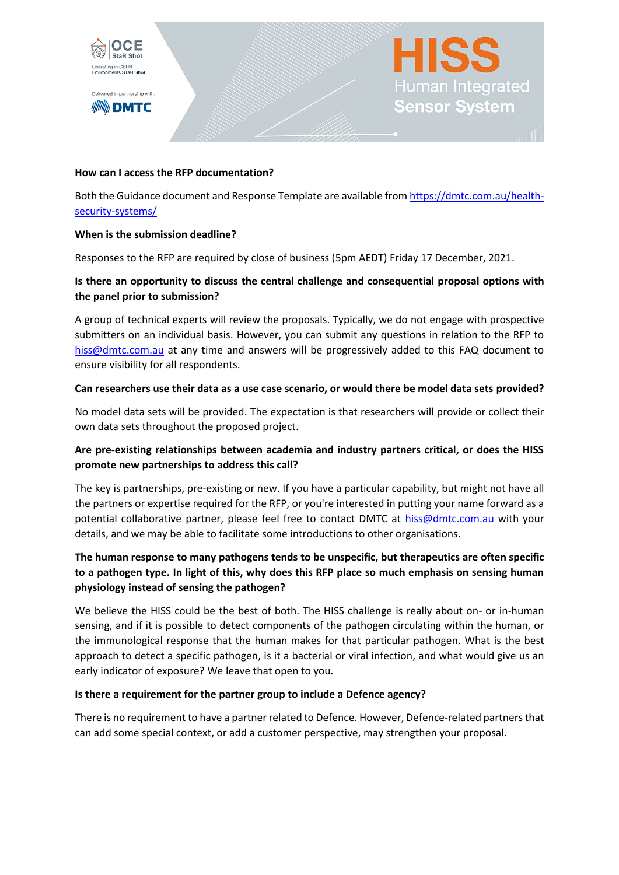

Delivered in partnership with: **//////////// DMTC** 

#### **How can I access the RFP documentation?**

Both the Guidance document and Response Template are available from [https://dmtc.com.au/health](https://dmtc.com.au/health-security-systems/)[security-systems/](https://dmtc.com.au/health-security-systems/)

**Human Integrated** 

Sensor System

#### **When is the submission deadline?**

Responses to the RFP are required by close of business (5pm AEDT) Friday 17 December, 2021.

### **Is there an opportunity to discuss the central challenge and consequential proposal options with the panel prior to submission?**

A group of technical experts will review the proposals. Typically, we do not engage with prospective submitters on an individual basis. However, you can submit any questions in relation to the RFP to [hiss@dmtc.com.au](mailto:hiss@dmtc.com.au) at any time and answers will be progressively added to this FAQ document to ensure visibility for all respondents.

#### **Can researchers use their data as a use case scenario, or would there be model data sets provided?**

No model data sets will be provided. The expectation is that researchers will provide or collect their own data sets throughout the proposed project.

# **Are pre-existing relationships between academia and industry partners critical, or does the HISS promote new partnerships to address this call?**

The key is partnerships, pre-existing or new. If you have a particular capability, but might not have all the partners or expertise required for the RFP, or you're interested in putting your name forward as a potential collaborative partner, please feel free to contact DMTC at [hiss@dmtc.com.au](mailto:hiss@dmtc.com.au) with your details, and we may be able to facilitate some introductions to other organisations.

# **The human response to many pathogens tends to be unspecific, but therapeutics are often specific to a pathogen type. In light of this, why does this RFP place so much emphasis on sensing human physiology instead of sensing the pathogen?**

We believe the HISS could be the best of both. The HISS challenge is really about on- or in-human sensing, and if it is possible to detect components of the pathogen circulating within the human, or the immunological response that the human makes for that particular pathogen. What is the best approach to detect a specific pathogen, is it a bacterial or viral infection, and what would give us an early indicator of exposure? We leave that open to you.

### **Is there a requirement for the partner group to include a Defence agency?**

There is no requirement to have a partner related to Defence. However, Defence-related partners that can add some special context, or add a customer perspective, may strengthen your proposal.